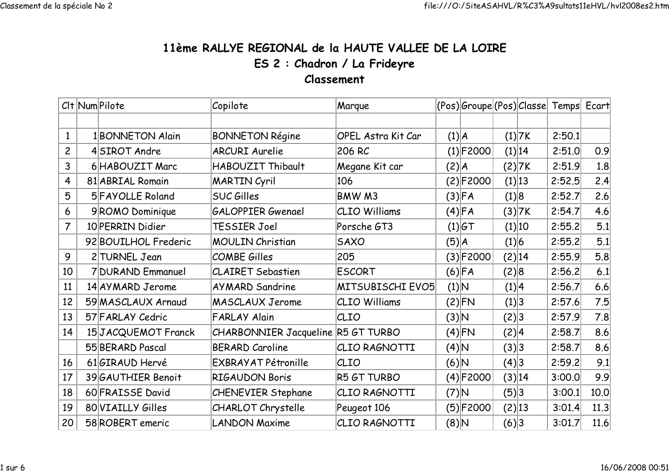## 11ème RALLYE REGIONAL de la HAUTE VALLEE DE LA LOIREES 2 : Chadron / La FrideyreClassement

|                | Clt Num Pilote |                      | Copilote                           | Marque                    |          |              |       |        | (Pos) Groupe (Pos) Classe Temps Ecart |      |
|----------------|----------------|----------------------|------------------------------------|---------------------------|----------|--------------|-------|--------|---------------------------------------|------|
|                |                |                      |                                    |                           |          |              |       |        |                                       |      |
| $\mathbf{1}$   |                | 1 BONNETON Alain     | <b>BONNETON Régine</b>             | <b>OPEL Astra Kit Car</b> |          | (1) A        |       | (1) 7K | 2:50.1                                |      |
| $\overline{c}$ |                | 4SIROT Andre         | <b>ARCURI Aurelie</b>              | 206 RC                    |          | $(1)$ F2000  |       | (1) 14 | 2:51.0                                | 0.9  |
| 3              |                | 6 HABOUZIT Marc      | HABOUZIT Thibault                  | Megane Kit car            | (2) A    |              |       | (2) 7K | 2:51.9                                | 1.8  |
| 4              |                | 81 ABRIAL Romain     | <b>MARTIN Cyril</b>                | 106                       |          | (2) F2000    |       | (1) 13 | 2:52.5                                | 2.4  |
| 5              |                | 5 FAYOLLE Roland     | <b>SUC Gilles</b>                  | <b>BMW M3</b>             |          | $(3)$ FA     | (1) 8 |        | 2:52.7                                | 2.6  |
| 6              |                | 9ROMO Dominique      | <b>GALOPPIER Gwenael</b>           | <b>CLIO Williams</b>      |          | $(4)$ FA     |       | (3) 7K | 2:54.7                                | 4.6  |
|                |                | 10 PERRIN Didier     | TESSIER Joel                       | Porsche GT3               |          | $(1)$ $6T$   |       | (1) 10 | 2:55.2                                | 5.1  |
|                |                | 92 BOUILHOL Frederic | <b>MOULIN Christian</b>            | <b>SAXO</b>               | (5) A    |              | (1) 6 |        | 2:55.2                                | 5.1  |
| 9              |                | 2 TURNEL Jean        | <b>COMBE Gilles</b>                | 205                       |          | (3) F2000    |       | (2) 14 | 2:55.9                                | 5.8  |
| 10             |                | 7 DURAND Emmanuel    | <b>CLAIRET Sebastien</b>           | <b>ESCORT</b>             |          | $(6)$ FA     | (2) 8 |        | 2:56.2                                | 6.1  |
| 11             |                | 14 AYMARD Jerome     | <b>AYMARD Sandrine</b>             | MITSUBISCHI EVO5          | (1) N    |              | (1) 4 |        | 2:56.7                                | 6.6  |
| 12             |                | 59 MASCLAUX Arnaud   | <b>MASCLAUX Jerome</b>             | <b>CLIO Williams</b>      |          | $(2)$ FN     | (1) 3 |        | 2:57.6                                | 7.5  |
| 13             |                | 57 FARLAY Cedric     | <b>FARLAY Alain</b>                | CLIO                      | $(3)$ N  |              | (2) 3 |        | 2:57.9                                | 7.8  |
| 14             |                | 15JACQUEMOT Franck   | CHARBONNIER Jacqueline R5 GT TURBO |                           |          | $(4)$ FN     | (2) 4 |        | 2:58.7                                | 8.6  |
|                |                | 55 BERARD Pascal     | <b>BERARD Caroline</b>             | CLIO RAGNOTTI             | $(4)$ N  |              | (3) 3 |        | 2:58.7                                | 8.6  |
| 16             |                | 61GIRAUD Hervé       | EXBRAYAT Pétronille                | CLIO                      | O( (6) ) |              | (4)3  |        | 2:59.2                                | 9.1  |
| 17             |                | 39 GAUTHIER Benoit   | <b>RIGAUDON Boris</b>              | R5 GT TURBO               |          | $(4)$ F2000  |       | (3) 14 | 3:00.0                                | 9.9  |
| 18             |                | 60 FRAISSE David     | <b>CHENEVIER Stephane</b>          | CLIO RAGNOTTI             | $(7)$ N  |              | (5) 3 |        | 3:00.1                                | 10.0 |
| 19             |                | 80 VIAILLY Gilles    | <b>CHARLOT Chrystelle</b>          | Peugeot 106               |          | $(5) $ F2000 |       | (2) 13 | 3:01.4                                | 11.3 |
| 20             |                | 58 ROBERT emeric     | <b>LANDON Maxime</b>               | CLIO RAGNOTTI             | $(8)$ N  |              | (6)3  |        | 3:01.7                                | 11.6 |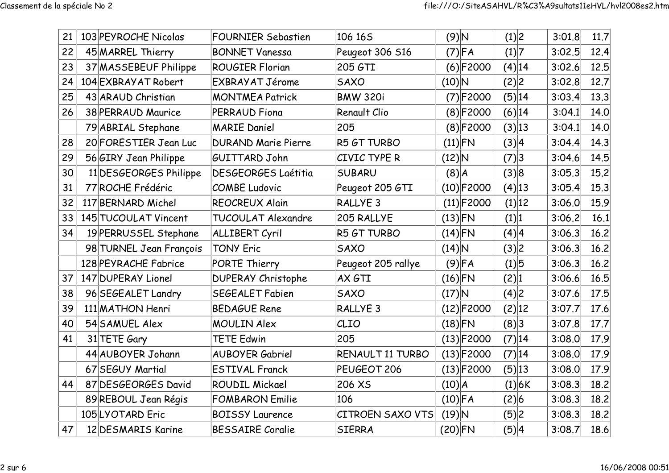| 21 | 103 PEYROCHE Nicolas    | <b>FOURNIER Sebastien</b>  | 106 165                 | $(9)$ N       |              | (1) 2    |        | 3:01.8 | 11.7 |
|----|-------------------------|----------------------------|-------------------------|---------------|--------------|----------|--------|--------|------|
| 22 | 45 MARREL Thierry       | <b>BONNET Vanessa</b>      | Peugeot 306 S16         |               | $(7)$ FA     | (1) 7    |        | 3:02.5 | 12.4 |
| 23 | 37 MASSEBEUF Philippe   | <b>ROUGIER Florian</b>     | 205 GTI                 |               | (6) F2000    |          | (4) 14 | 3:02.6 | 12.5 |
| 24 | 104 EXBRAYAT Robert     | EXBRAYAT Jérome            | <b>SAXO</b>             | $(10)\vert N$ |              | (2) 2    |        | 3:02.8 | 12.7 |
| 25 | 43 ARAUD Christian      | <b>MONTMEA Patrick</b>     | <b>BMW 320i</b>         |               | $(7)$ F2000  |          | (5) 14 | 3:03.4 | 13.3 |
| 26 | 38 PERRAUD Maurice      | <b>PERRAUD Fiona</b>       | Renault Clio            |               | (8) F2000    |          | (6) 14 | 3:04.1 | 14.0 |
|    | 79 ABRIAL Stephane      | <b>MARIE Daniel</b>        | 205                     |               | (8) F2000    | (3) 13   |        | 3:04.1 | 14.0 |
| 28 | 20 FORESTIER Jean Luc   | <b>DURAND Marie Pierre</b> | R5 GT TURBO             | $(11)$ FN     |              | (3) 4    |        | 3:04.4 | 14.3 |
| 29 | 56 GIRY Jean Philippe   | <b>GUITTARD John</b>       | CIVIC TYPE R            | $(12)$ N      |              | (7) 3    |        | 3:04.6 | 14.5 |
| 30 | 11 DESGEORGES Philippe  | <b>DESGEORGES Laétitia</b> | <b>SUBARU</b>           | $(8)$ $A$     |              | (3) 8    |        | 3:05.3 | 15.2 |
| 31 | 77 ROCHE Frédéric       | <b>COMBE Ludovic</b>       | Peugeot 205 GTI         |               | $(10)$ F2000 | $(4)$ 13 |        | 3:05.4 | 15.3 |
| 32 | 117 BERNARD Michel      | <b>REOCREUX Alain</b>      | RALLYE <sub>3</sub>     |               | $(11)$ F2000 |          | (1) 12 | 3:06.0 | 15.9 |
| 33 | 145 TUCOULAT Vincent    | <b>TUCOULAT Alexandre</b>  | 205 RALLYE              | $(13)$ FN     |              | (1) 1    |        | 3:06.2 | 16.1 |
| 34 | 19 PERRUSSEL Stephane   | <b>ALLIBERT Cyril</b>      | R5 GT TURBO             | $(14)$ FN     |              | (4) 4    |        | 3:06.3 | 16.2 |
|    | 98 TURNEL Jean François | <b>TONY Eric</b>           | <b>SAXO</b>             | $(14)$ N      |              | (3) 2    |        | 3:06.3 | 16.2 |
|    | 128 PEYRACHE Fabrice    | PORTE Thierry              | Peugeot 205 rallye      |               | $(9)$ FA     | (1) 5    |        | 3:06.3 | 16.2 |
| 37 | 147 DUPERAY Lionel      | <b>DUPERAY Christophe</b>  | AX GTI                  | $(16)$ FN     |              | (2) 1    |        | 3:06.6 | 16.5 |
| 38 | 96 SEGEALET Landry      | SEGEALET Fabien            | <b>SAXO</b>             | $(17)$ N      |              | (4)2     |        | 3:07.6 | 17.5 |
| 39 | 111 MATHON Henri        | <b>BEDAGUE Rene</b>        | RALLYE <sub>3</sub>     |               | $(12)$ F2000 | (2) 12   |        | 3:07.7 | 17.6 |
| 40 | 54 SAMUEL Alex          | <b>MOULIN Alex</b>         | CLIO                    | $(18)$ FN     |              | (8)3     |        | 3:07.8 | 17.7 |
| 41 | 31 TETE Gary            | <b>TETE Edwin</b>          | 205                     |               | $(13)$ F2000 |          | (7) 14 | 3:08.0 | 17.9 |
|    | 44 AUBOYER Johann       | <b>AUBOYER Gabriel</b>     | RENAULT 11 TURBO        |               | $(13)$ F2000 |          | (7) 14 | 3:08.0 | 17.9 |
|    | 67 SEGUY Martial        | <b>ESTIVAL Franck</b>      | PEUGEOT 206             |               | $(13)$ F2000 |          | (5) 13 | 3:08.0 | 17.9 |
| 44 | 87 DESGEORGES David     | <b>ROUDIL Mickael</b>      | 206 XS                  | (10) A        |              |          | (1) 6K | 3:08.3 | 18.2 |
|    | 89 REBOUL Jean Régis    | <b>FOMBARON Emilie</b>     | 106                     | $(10)$ FA     |              | (2) 6    |        | 3:08.3 | 18.2 |
|    | 105 LYOTARD Eric        | <b>BOISSY Laurence</b>     | <b>CITROEN SAXO VTS</b> | $(19)$ N      |              | (5) 2    |        | 3:08.3 | 18.2 |
| 47 | 12 DESMARIS Karine      | <b>BESSAIRE Coralie</b>    | <b>SIERRA</b>           | $(20)$ FN     |              | (5) 4    |        | 3:08.7 | 18.6 |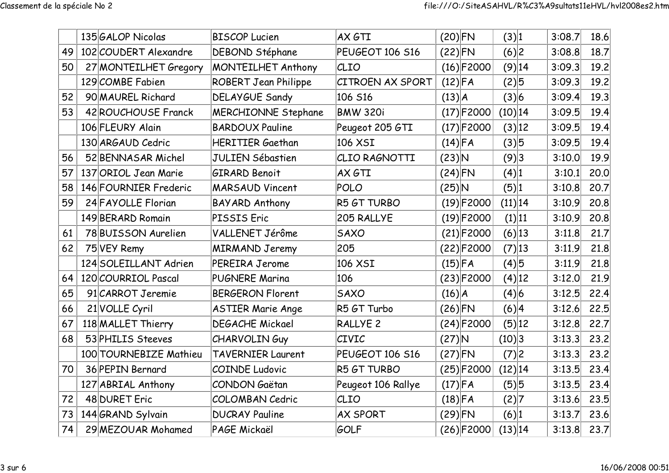|    | 135 GALOP Nicolas      | <b>BISCOP Lucien</b>        | AX GTI              | $(20)$ FN    | (3) 1      | 3:08.7 | 18.6 |
|----|------------------------|-----------------------------|---------------------|--------------|------------|--------|------|
| 49 | 102 COUDERT Alexandre  | DEBOND Stéphane             | PEUGEOT 106 S16     | $(22)$ FN    | (6)2       | 3:08.8 | 18.7 |
| 50 | 27 MONTEILHET Gregory  | MONTEILHET Anthony          | CLIO                | $(16)$ F2000 | (9) 14     | 3:09.3 | 19.2 |
|    | 129 COMBE Fabien       | <b>ROBERT Jean Philippe</b> | CITROEN AX SPORT    | $(12)$ FA    | (2)5       | 3:09.3 | 19.2 |
| 52 | 90 MAUREL Richard      | <b>DELAYGUE Sandy</b>       | 106 S16             | (13) A       | (3) 6      | 3:09.4 | 19.3 |
| 53 | 42 ROUCHOUSE Franck    | <b>MERCHIONNE Stephane</b>  | <b>BMW 320i</b>     | $(17)$ F2000 | (10) 14    | 3:09.5 | 19.4 |
|    | 106 FLEURY Alain       | <b>BARDOUX Pauline</b>      | Peugeot 205 GTI     | $(17)$ F2000 | (3) 12     | 3:09.5 | 19.4 |
|    | 130 ARGAUD Cedric      | <b>HERITIER Gaethan</b>     | 106 XSI             | $(14)$ FA    | (3) 5      | 3:09.5 | 19.4 |
| 56 | 52 BENNASAR Michel     | <b>JULIEN Sébastien</b>     | CLIO RAGNOTTI       | $(23)$ N     | (9)3       | 3:10.0 | 19.9 |
| 57 | 137 ORIOL Jean Marie   | <b>GIRARD Benoit</b>        | AX GTI              | $(24)$ FN    | (4) 1      | 3:10.1 | 20.0 |
| 58 | 146 FOURNIER Frederic  | <b>MARSAUD Vincent</b>      | <b>POLO</b>         | $(25)$ N     | (5) 1      | 3:10.8 | 20.7 |
| 59 | 24 FAYOLLE Florian     | <b>BAYARD Anthony</b>       | R5 GT TURBO         | $(19)$ F2000 | (11) 14    | 3:10.9 | 20.8 |
|    | 149 BERARD Romain      | PISSIS Eric                 | 205 RALLYE          | $(19)$ F2000 | (1) 11     | 3:10.9 | 20.8 |
| 61 | 78 BUISSON Aurelien    | VALLENET Jérôme             | <b>SAXO</b>         | $(21)$ F2000 | $(6)$ 13   | 3:11.8 | 21.7 |
| 62 | 75 VEY Remy            | <b>MIRMAND Jeremy</b>       | 205                 | $(22)$ F2000 | (7) 13     | 3:11.9 | 21.8 |
|    | 124 SOLEILLANT Adrien  | <b>PEREIRA Jerome</b>       | 106 XSI             | $(15)$ FA    | (4)5       | 3:11.9 | 21.8 |
| 64 | 120 COURRIOL Pascal    | <b>PUGNERE Marina</b>       | 106                 | $(23)$ F2000 | (4) 12     | 3:12.0 | 21.9 |
| 65 | 91 CARROT Jeremie      | <b>BERGERON Florent</b>     | <b>SAXO</b>         | (16) A       | (4) 6      | 3:12.5 | 22.4 |
| 66 | 21 VOLLE Cyril         | <b>ASTIER Marie Ange</b>    | R5 GT Turbo         | $(26)$ FN    | (6) 4      | 3:12.6 | 22.5 |
| 67 | 118 MALLET Thierry     | <b>DEGACHE Mickael</b>      | RALLYE <sub>2</sub> | $(24)$ F2000 | (5) 12     | 3:12.8 | 22.7 |
| 68 | 53 PHILIS Steeves      | <b>CHARVOLINGuy</b>         | CIVIC               | $(27)$ N     | (10) 3     | 3:13.3 | 23.2 |
|    | 100 TOURNEBIZE Mathieu | <b>TAVERNIER Laurent</b>    | PEUGEOT 106 S16     | $(27)$ FN    | (7) 2      | 3:13.3 | 23.2 |
| 70 | 36 PEPIN Bernard       | <b>COINDE Ludovic</b>       | R5 GT TURBO         | $(25)$ F2000 | $(12)$  14 | 3:13.5 | 23.4 |
|    | 127 ABRIAL Anthony     | <b>CONDON Gaëtan</b>        | Peugeot 106 Rallye  | $(17)$ FA    | (5) 5      | 3:13.5 | 23.4 |
| 72 | 48 DURET Eric          | <b>COLOMBAN Cedric</b>      | CLIO                | $(18)$ FA    | (2) 7      | 3:13.6 | 23.5 |
| 73 | 144 GRAND Sylvain      | <b>DUCRAY Pauline</b>       | <b>AX SPORT</b>     | $(29)$ FN    | (6) 1      | 3:13.7 | 23.6 |
| 74 | 29 MEZOUAR Mohamed     | PAGE Mickaël                | GOLF                | $(26)$ F2000 | (13) 14    | 3:13.8 | 23.7 |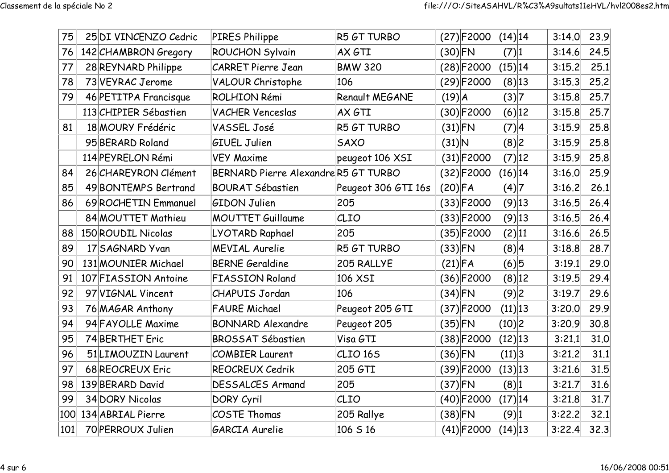| 75  | 25 DI VINCENZO Cedric | <b>PIRES Philippe</b>               | R5 GT TURBO         |           | $(27)$ F2000 | $(14)$  14 |          | 3:14.0 | 23.9 |
|-----|-----------------------|-------------------------------------|---------------------|-----------|--------------|------------|----------|--------|------|
| 76  | 142 CHAMBRON Gregory  | ROUCHON Sylvain                     | AX GTI              | $(30)$ FN |              | (7) 1      |          | 3:14.6 | 24.5 |
| 77  | 28 REYNARD Philippe   | <b>CARRET Pierre Jean</b>           | <b>BMW 320</b>      |           | $(28)$ F2000 | (15) 14    |          | 3:15.2 | 25.1 |
| 78  | 73 VEYRAC Jerome      | <b>VALOUR Christophe</b>            | 106                 |           | $(29)$ F2000 | (8) 13     |          | 3:15.3 | 25.2 |
| 79  | 46 PETITPA Francisque | <b>ROLHION Rémi</b>                 | Renault MEGANE      | (19)A     |              | (3) 7      |          | 3:15.8 | 25.7 |
|     | 113 CHIPIER Sébastien | <b>VACHER Venceslas</b>             | AX GTI              |           | $(30)$ F2000 |            | (6) 12   | 3:15.8 | 25.7 |
| 81  | 18 MOURY Frédéric     | VASSEL José                         | R5 GT TURBO         | $(31)$ FN |              | (7) 4      |          | 3:15.9 | 25.8 |
|     | 95 BERARD Roland      | <b>GIUEL Julien</b>                 | <b>SAXO</b>         | $(31)$ N  |              | (8) 2      |          | 3:15.9 | 25.8 |
|     | 114 PEYRELON Rémi     | <b>VEY Maxime</b>                   | peugeot 106 XSI     |           | $(31)$ F2000 |            | (7) 12   | 3:15.9 | 25.8 |
| 84  | 26 CHAREYRON Clément  | BERNARD Pierre AlexandreR5 GT TURBO |                     |           | $(32)$ F2000 | $(16)$  14 |          | 3:16.0 | 25.9 |
| 85  | 49 BONTEMPS Bertrand  | <b>BOURAT Sébastien</b>             | Peugeot 306 GTI 16s | $(20)$ FA |              | (4) 7      |          | 3:16.2 | 26.1 |
| 86  | 69 ROCHETIN Emmanuel  | <b>GIDON Julien</b>                 | 205                 |           | $(33)$ F2000 | $(9)$ 13   |          | 3:16.5 | 26.4 |
|     | 84 MOUTTET Mathieu    | <b>MOUTTET Guillaume</b>            | CLIO                |           | $(33)$ F2000 |            | $(9)$ 13 | 3:16.5 | 26.4 |
| 88  | 150 ROUDIL Nicolas    | LYOTARD Raphael                     | 205                 |           | $(35)$ F2000 | (2) 11     |          | 3:16.6 | 26.5 |
| 89  | 17 SAGNARD Yvan       | <b>MEVIAL Aurelie</b>               | R5 GT TURBO         | $(33)$ FN |              | (8) 4      |          | 3:18.8 | 28.7 |
| 90  | 131 MOUNIER Michael   | <b>BERNE Geraldine</b>              | 205 RALLYE          | $(21)$ FA |              | (6) 5      |          | 3:19.1 | 29.0 |
| 91  | 107 FIASSION Antoine  | <b>FIASSION Roland</b>              | 106 XSI             |           | $(36)$ F2000 |            | (8) 12   | 3:19.5 | 29.4 |
| 92  | 97 VIGNAL Vincent     | <b>CHAPUIS Jordan</b>               | 106                 | $(34)$ FN |              | (9)2       |          | 3:19.7 | 29.6 |
| 93  | 76 MAGAR Anthony      | <b>FAURE Michael</b>                | Peugeot 205 GTI     |           | $(37)$ F2000 | (11) 13    |          | 3:20.0 | 29.9 |
| 94  | 94 FAYOLLE Maxime     | <b>BONNARD Alexandre</b>            | Peugeot 205         | $(35)$ FN |              | (10) 2     |          | 3:20.9 | 30.8 |
| 95  | 74 BERTHET Eric       | <b>BROSSAT Sébastien</b>            | Visa GTI            |           | $(38)$ F2000 | (12) 13    |          | 3:21.1 | 31.0 |
| 96  | 51 LIMOUZIN Laurent   | <b>COMBIER Laurent</b>              | CLIO <sub>165</sub> | $(36)$ FN |              | (11) 3     |          | 3:21.2 | 31.1 |
| 97  | 68 REOCREUX Eric      | REOCREUX Cedrik                     | 205 GTI             |           | $(39)$ F2000 | (13) 13    |          | 3:21.6 | 31.5 |
| 98  | 139 BERARD David      | <b>DESSALCES Armand</b>             | 205                 | $(37)$ FN |              | (8) 1      |          | 3:21.7 | 31.6 |
| 99  | 34 DORY Nicolas       | <b>DORY Cyril</b>                   | CLIO                |           | $(40)$ F2000 | (17) 14    |          | 3:21.8 | 31.7 |
| 100 | 134 ABRIAL Pierre     | COSTE Thomas                        | 205 Rallye          | $(38)$ FN |              | (9) 1      |          | 3:22.2 | 32.1 |
| 101 | 70 PERROUX Julien     | <b>GARCIA Aurelie</b>               | 106 S 16            |           | $(41)$ F2000 | $(14)$ 13  |          | 3:22.4 | 32.3 |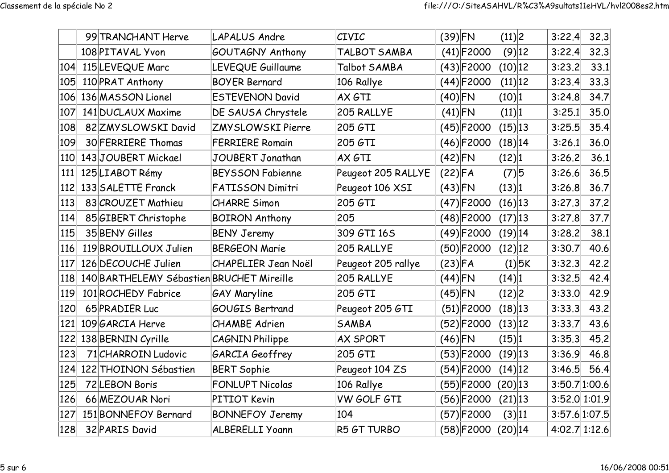|     | 99 TRANCHANT Herve                        | <b>LAPALUS Andre</b>       | <b>CIVIC</b>       | $(39)$ FN    | (11) 2     | 3:22.4        | 32.3 |
|-----|-------------------------------------------|----------------------------|--------------------|--------------|------------|---------------|------|
|     | 108 PITAVAL Yvon                          | <b>GOUTAGNY Anthony</b>    | TALBOT SAMBA       | $(41)$ F2000 | $(9)$ 12   | 3:22.4        | 32.3 |
| 104 | 115 LEVEQUE Marc                          | LEVEQUE Guillaume          | Talbot SAMBA       | $(43)$ F2000 | (10) 12    | 3:23.2        | 33.1 |
| 105 | 110 PRAT Anthony                          | <b>BOYER Bernard</b>       | 106 Rallye         | $(44)$ F2000 | (11) 12    | 3:23.4        | 33.3 |
| 106 | 136 MASSON Lionel                         | <b>ESTEVENON David</b>     | AX GTI             | $(40)$ FN    | (10) 1     | 3:24.8        | 34.7 |
| 107 | 141 DUCLAUX Maxime                        | DE SAUSA Chrystele         | 205 RALLYE         | $(41)$ FN    | (11) 1     | 3:25.1        | 35.0 |
| 108 | 82 ZMY SLOWSKI David                      | <b>ZMYSLOWSKI Pierre</b>   | 205 GTI            | $(45)$ F2000 | $(15)$  13 | 3:25.5        | 35.4 |
| 109 | 30 FERRIERE Thomas                        | <b>FERRIERE Romain</b>     | 205 GTI            | $(46)$ F2000 | $(18)$  14 | 3:26.1        | 36.0 |
| 110 | 143JOUBERT Mickael                        | JOUBERT Jonathan           | AX GTI             | $(42)$ FN    | (12) 1     | 3:26.2        | 36.1 |
| 111 | 125 LIABOT Rémy                           | <b>BEYSSON Fabienne</b>    | Peugeot 205 RALLYE | $(22)$ FA    | (7) 5      | 3:26.6        | 36.5 |
| 112 | 133 SALETTE Franck                        | <b>FATISSON Dimitri</b>    | Peugeot 106 XSI    | $(43)$ FN    | (13) 1     | 3:26.8        | 36.7 |
| 113 | 83 CROUZET Mathieu                        | <b>CHARRE Simon</b>        | 205 GTI            | $(47)$ F2000 |            |               | 37.2 |
| 114 | 85 GIBERT Christophe                      | <b>BOIRON Anthony</b>      | 205                | $(48)$ F2000 |            | 3:27.8        | 37.7 |
| 115 | 35 BENY Gilles                            | <b>BENY Jeremy</b>         | 309 GTI 16S        | $(49)$ F2000 | $(19)$  14 | 3:28.2        | 38.1 |
| 116 | 119 BROUILLOUX Julien                     | <b>BERGEON Marie</b>       | 205 RALLYE         | $(50)$ F2000 | $(12)$  12 | 3:30.7        | 40.6 |
| 117 | 126 DECOUCHE Julien                       | <b>CHAPELIER Jean Noël</b> | Peugeot 205 rallye | $(23)$ FA    | $(1)$ 5K   | 3:32.3        | 42.2 |
| 118 | 140 BARTHELEMY Sébastien BRUCHET Mireille |                            | 205 RALLYE         | $(44)$ FN    | (14) 1     | 3:32.5        | 42.4 |
| 119 | 101 ROCHEDY Fabrice                       | <b>GAY Maryline</b>        | 205 GTI            | $(45)$ FN    | (12) 2     | 3:33.0        | 42.9 |
| 120 | 65 PRADIER Luc                            | <b>GOUGIS Bertrand</b>     | Peugeot 205 GTI    | $(51)$ F2000 | $(18)$ 13  | 3:33.3        | 43.2 |
| 121 | 109 GARCIA Herve                          | <b>CHAMBE</b> Adrien       | SAMBA              | $(52)$ F2000 | $(13)$  12 | 3:33.7        | 43.6 |
| 122 | 138 BERNIN Cyrille                        | <b>CAGNIN Philippe</b>     | <b>AX SPORT</b>    | $(46)$ FN    | (15) 1     | 3:35.3        | 45.2 |
| 123 | 71 CHARROIN Ludovic                       | <b>GARCIA Geoffrey</b>     | 205 GTI            | $(53)$ F2000 | $(19)$  13 | 3:36.9        | 46.8 |
| 124 | 122 THOINON Sébastien                     | <b>BERT Sophie</b>         | Peugeot 104 ZS     | $(54)$ F2000 | $(14)$  12 | 3:46.5        | 56.4 |
| 125 | 72 LEBON Boris                            | <b>FONLUPT Nicolas</b>     | 106 Rallye         | $(55)$ F2000 | (20) 13    | 3:50.7 1:00.6 |      |
| 126 | 66 MEZOUAR Nori                           | PITIOT Kevin               | VW GOLF GTI        | $(56)$ F2000 | $(21)$ 13  | 3:52.0 1:01.9 |      |
| 127 | 151 BONNEFOY Bernard                      | <b>BONNEFOY Jeremy</b>     | 104                | $(57)$ F2000 | (3) 11     | 3:57.6 1:07.5 |      |
| 128 | 32 PARIS David                            | <b>ALBERELLI Yoann</b>     | R5 GT TURBO        | $(58)$ F2000 | (20) 14    | 4:02.7 1:12.6 |      |